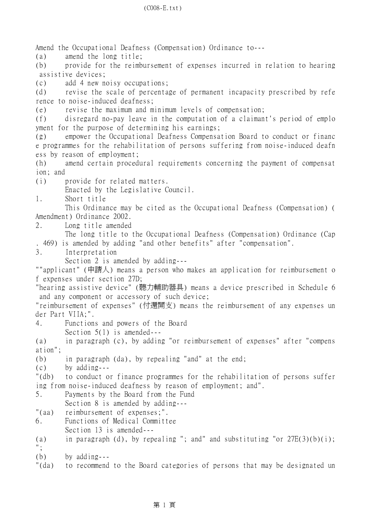Amend the Occupational Deafness (Compensation) Ordinance to--- (a) amend the long title; (b) provide for the reimbursement of expenses incurred in relation to hearing assistive devices; (c) add 4 new noisy occupations; (d) revise the scale of percentage of permanent incapacity prescribed by refe rence to noise-induced deafness; (e) revise the maximum and minimum levels of compensation; (f) disregard no-pay leave in the computation of a claimant's period of emplo yment for the purpose of determining his earnings; (g) empower the Occupational Deafness Compensation Board to conduct or financ e programmes for the rehabilitation of persons suffering from noise-induced deafn ess by reason of employment; (h) amend certain procedural requirements concerning the payment of compensat ion; and (i) provide for related matters. Enacted by the Legislative Council. 1. Short title This Ordinance may be cited as the Occupational Deafness (Compensation) ( Amendment) Ordinance 2002. 2. Long title amended The long title to the Occupational Deafness (Compensation) Ordinance (Cap . 469) is amended by adding "and other benefits" after "compensation". 3. Interpretation Section 2 is amended by adding--- ""applicant" (申請㆟) means a person who makes an application for reimbursement o f expenses under section 27D; "hearing assistive device" (聽力輔助器具) means a device prescribed in Schedule 6 and any component or accessory of such device; "reimbursement of expenses" (付還開支) means the reimbursement of any expenses un der Part VIIA;". 4. Functions and powers of the Board Section 5(1) is amended--- (a) in paragraph (c), by adding "or reimbursement of expenses" after "compens ation"; (b) in paragraph (da), by repealing "and" at the end; (c) by adding--- "(db) to conduct or finance programmes for the rehabilitation of persons suffer ing from noise-induced deafness by reason of employment; and". 5. Payments by the Board from the Fund Section 8 is amended by adding--- "(aa) reimbursement of expenses;". 6. Functions of Medical Committee Section 13 is amended---(a) in paragraph (d), by repealing "; and" and substituting "or  $27E(3)(b)(i)$ ; "; (b) by adding---

"(da) to recommend to the Board categories of persons that may be designated un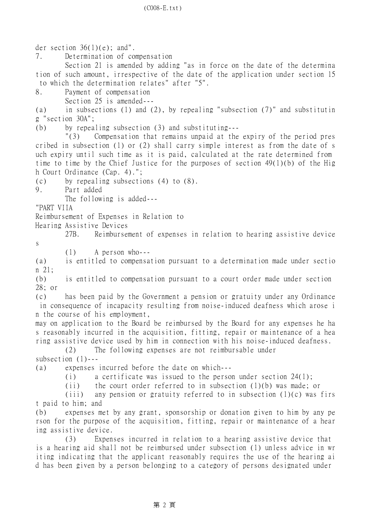der section  $36(1)(e)$ ; and". 7. Determination of compensation Section 21 is amended by adding "as in force on the date of the determina tion of such amount, irrespective of the date of the application under section 15 to which the determination relates" after "5". 8. Payment of compensation Section 25 is amended--- (a) in subsections (1) and (2), by repealing "subsection (7)" and substitutin g "section 30A"; (b) by repealing subsection (3) and substituting--- "(3) Compensation that remains unpaid at the expiry of the period pres cribed in subsection (1) or (2) shall carry simple interest as from the date of s uch expiry until such time as it is paid, calculated at the rate determined from time to time by the Chief Justice for the purposes of section 49(1)(b) of the Hig h Court Ordinance (Cap. 4)."; (c) by repealing subsections (4) to (8). 9. Part added The following is added--- "PART VIIA Reimbursement of Expenses in Relation to Hearing Assistive Devices 27B. Reimbursement of expenses in relation to hearing assistive device s (1) A person who--- (a) is entitled to compensation pursuant to a determination made under sectio n 21; (b) is entitled to compensation pursuant to a court order made under section 28; or (c) has been paid by the Government a pension or gratuity under any Ordinance in consequence of incapacity resulting from noise-induced deafness which arose i n the course of his employment, may on application to the Board be reimbursed by the Board for any expenses he ha s reasonably incurred in the acquisition, fitting, repair or maintenance of a hea ring assistive device used by him in connection with his noise-induced deafness. (2) The following expenses are not reimbursable under subsection (1)--- (a) expenses incurred before the date on which--- (i) a certificate was issued to the person under section 24(1); (ii) the court order referred to in subsection (1)(b) was made; or (iii) any pension or gratuity referred to in subsection  $(1)(c)$  was firs t paid to him; and (b) expenses met by any grant, sponsorship or donation given to him by any pe rson for the purpose of the acquisition, fitting, repair or maintenance of a hear ing assistive device. (3) Expenses incurred in relation to a hearing assistive device that is a hearing aid shall not be reimbursed under subsection (1) unless advice in wr iting indicating that the applicant reasonably requires the use of the hearing ai d has been given by a person belonging to a category of persons designated under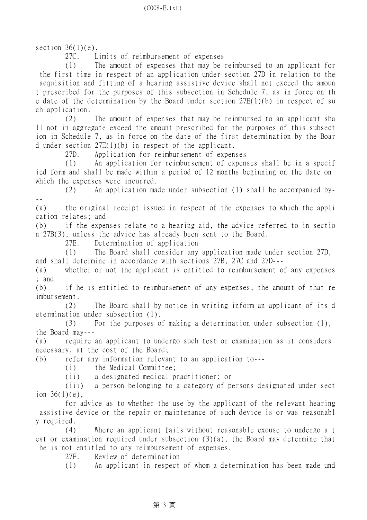section  $36(1)(e)$ .

27C. Limits of reimbursement of expenses

 (1) The amount of expenses that may be reimbursed to an applicant for the first time in respect of an application under section 27D in relation to the acquisition and fitting of a hearing assistive device shall not exceed the amoun t prescribed for the purposes of this subsection in Schedule 7, as in force on th e date of the determination by the Board under section 27E(1)(b) in respect of su ch application.

 (2) The amount of expenses that may be reimbursed to an applicant sha ll not in aggregate exceed the amount prescribed for the purposes of this subsect ion in Schedule 7, as in force on the date of the first determination by the Boar d under section 27E(1)(b) in respect of the applicant.

27D. Application for reimbursement of expenses

 (1) An application for reimbursement of expenses shall be in a specif ied form and shall be made within a period of 12 months beginning on the date on which the expenses were incurred.

 (2) An application made under subsection (1) shall be accompanied by- --

(a) the original receipt issued in respect of the expenses to which the appli cation relates; and

(b) if the expenses relate to a hearing aid, the advice referred to in sectio n 27B(3), unless the advice has already been sent to the Board.

27E. Determination of application

 (1) The Board shall consider any application made under section 27D, and shall determine in accordance with sections 27B, 27C and 27D---

(a) whether or not the applicant is entitled to reimbursement of any expenses ; and

(b) if he is entitled to reimbursement of any expenses, the amount of that re imbursement.

 (2) The Board shall by notice in writing inform an applicant of its d etermination under subsection (1).

 (3) For the purposes of making a determination under subsection (1), the Board may---

(a) require an applicant to undergo such test or examination as it considers necessary, at the cost of the Board;

(b) refer any information relevant to an application to---

(i) the Medical Committee;

(ii) a designated medical practitioner; or

 (iii) a person belonging to a category of persons designated under sect ion  $36(1)(e)$ .

 for advice as to whether the use by the applicant of the relevant hearing assistive device or the repair or maintenance of such device is or was reasonabl y required.

 (4) Where an applicant fails without reasonable excuse to undergo a t est or examination required under subsection (3)(a), the Board may determine that he is not entitled to any reimbursement of expenses.

27F. Review of determination

(1) An applicant in respect of whom a determination has been made und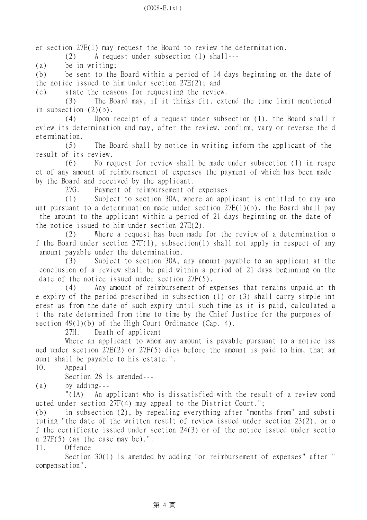er section 27E(1) may request the Board to review the determination.

(2) A request under subsection (1) shall---

(a) be in writing;

(b) be sent to the Board within a period of 14 days beginning on the date of the notice issued to him under section 27E(2); and

(c) state the reasons for requesting the review.

 (3) The Board may, if it thinks fit, extend the time limit mentioned in subsection (2)(b).

 (4) Upon receipt of a request under subsection (1), the Board shall r eview its determination and may, after the review, confirm, vary or reverse the d etermination.

 (5) The Board shall by notice in writing inform the applicant of the result of its review.

 (6) No request for review shall be made under subsection (1) in respe ct of any amount of reimbursement of expenses the payment of which has been made by the Board and received by the applicant.

27G. Payment of reimbursement of expenses

 (1) Subject to section 30A, where an applicant is entitled to any amo unt pursuant to a determination made under section 27E(1)(b), the Board shall pay the amount to the applicant within a period of 21 days beginning on the date of the notice issued to him under section 27E(2).

 (2) Where a request has been made for the review of a determination o f the Board under section 27F(1), subsection(1) shall not apply in respect of any amount payable under the determination.

 (3) Subject to section 30A, any amount payable to an applicant at the conclusion of a review shall be paid within a period of 21 days beginning on the date of the notice issued under section 27F(5).

 (4) Any amount of reimbursement of expenses that remains unpaid at th e expiry of the period prescribed in subsection (1) or (3) shall carry simple int erest as from the date of such expiry until such time as it is paid, calculated a t the rate determined from time to time by the Chief Justice for the purposes of section  $49(1)(b)$  of the High Court Ordinance (Cap. 4).

27H. Death of applicant

Where an applicant to whom any amount is payable pursuant to a notice iss ued under section 27E(2) or 27F(5) dies before the amount is paid to him, that am ount shall be payable to his estate.".

10. Appeal

Section 28 is amended---

(a) by adding---

 "(1A) An applicant who is dissatisfied with the result of a review cond ucted under section 27F(4) may appeal to the District Court.";

(b) in subsection (2), by repealing everything after "months from" and substi tuting "the date of the written result of review issued under section 23(2), or o f the certificate issued under section 24(3) or of the notice issued under sectio n 27F(5) (as the case may be).".

11. Offence

 Section 30(1) is amended by adding "or reimbursement of expenses" after " compensation".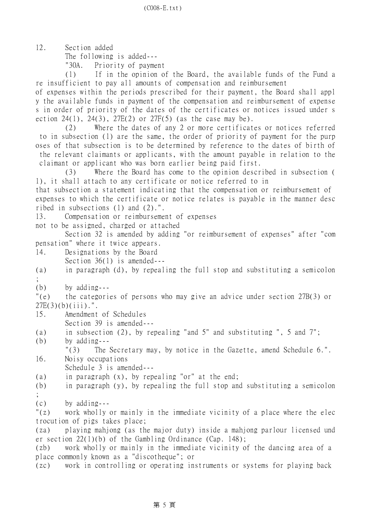12. Section added

The following is added---

"30A. Priority of payment

 (1) If in the opinion of the Board, the available funds of the Fund a re insufficient to pay all amounts of compensation and reimbursement

of expenses within the periods prescribed for their payment, the Board shall appl y the available funds in payment of the compensation and reimbursement of expense s in order of priority of the dates of the certificates or notices issued under s ection  $24(1)$ ,  $24(3)$ ,  $27E(2)$  or  $27F(5)$  (as the case may be).

 (2) Where the dates of any 2 or more certificates or notices referred to in subsection (1) are the same, the order of priority of payment for the purp oses of that subsection is to be determined by reference to the dates of birth of the relevant claimants or applicants, with the amount payable in relation to the claimant or applicant who was born earlier being paid first.

 (3) Where the Board has come to the opinion described in subsection ( 1), it shall attach to any certificate or notice referred to in

that subsection a statement indicating that the compensation or reimbursement of expenses to which the certificate or notice relates is payable in the manner desc ribed in subsections (1) and (2).".

13. Compensation or reimbursement of expenses

not to be assigned, charged or attached

 Section 32 is amended by adding "or reimbursement of expenses" after "com pensation" where it twice appears.

14. Designations by the Board Section 36(1) is amended---

(a) in paragraph (d), by repealing the full stop and substituting a semicolon ;

 $(b)$  by adding---

"(e) the categories of persons who may give an advice under section 27B(3) or  $27E(3)(b)(iii)$ .".

15. Amendment of Schedules

Section 39 is amended---

- (a) in subsection (2), by repealing "and 5" and substituting ", 5 and 7";
- (b) by adding---

"(3) The Secretary may, by notice in the Gazette, amend Schedule 6.".

16. Noisy occupations

Schedule 3 is amended---

(a) in paragraph (x), by repealing "or" at the end;

(b) in paragraph (y), by repealing the full stop and substituting a semicolon

- ;
- (c) by adding---

"(z) work wholly or mainly in the immediate vicinity of a place where the elec trocution of pigs takes place;

(za) playing mahjong (as the major duty) inside a mahjong parlour licensed und er section 22(1)(b) of the Gambling Ordinance (Cap. 148);

(zb) work wholly or mainly in the immediate vicinity of the dancing area of a place commonly known as a "discotheque"; or

(zc) work in controlling or operating instruments or systems for playing back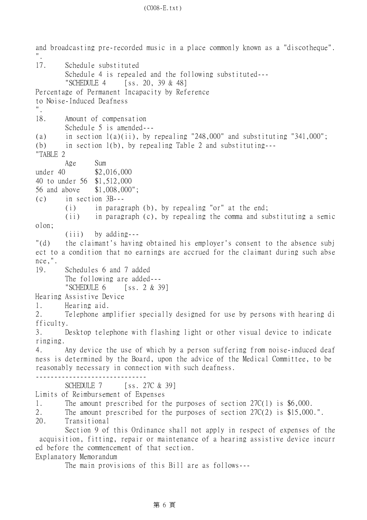and broadcasting pre-recorded music in a place commonly known as a "discotheque". ". 17. Schedule substituted Schedule 4 is repealed and the following substituted--- "SCHEDULE 4 [ss. 20, 39 & 48] Percentage of Permanent Incapacity by Reference to Noise-Induced Deafness ". 18. Amount of compensation Schedule 5 is amended--- (a) in section  $1(a)(ii)$ , by repealing "248,000" and substituting "341,000"; (b) in section 1(b), by repealing Table 2 and substituting--- "TABLE 2 Age Sum under 40 \$2,016,000 40 to under 56 \$1,512,000 56 and above \$1,008,000"; (c) in section 3B--- (i) in paragraph (b), by repealing "or" at the end; (ii) in paragraph (c), by repealing the comma and substituting a semic olon; (iii) by adding--- "(d) the claimant's having obtained his employer's consent to the absence subj ect to a condition that no earnings are accrued for the claimant during such abse nce,". 19. Schedules 6 and 7 added The following are added--- "SCHEDULE  $6$  [ss. 2 & 39] Hearing Assistive Device 1. Hearing aid. 2. Telephone amplifier specially designed for use by persons with hearing di fficulty. 3. Desktop telephone with flashing light or other visual device to indicate ringing. 4. Any device the use of which by a person suffering from noise-induced deaf ness is determined by the Board, upon the advice of the Medical Committee, to be reasonably necessary in connection with such deafness. ------------------------------ SCHEDULE 7 [ss. 27C & 39] Limits of Reimbursement of Expenses 1. The amount prescribed for the purposes of section 27C(1) is \$6,000. 2. The amount prescribed for the purposes of section 27C(2) is \$15,000.". 20. Transitional Section 9 of this Ordinance shall not apply in respect of expenses of the acquisition, fitting, repair or maintenance of a hearing assistive device incurr ed before the commencement of that section. Explanatory Memorandum The main provisions of this Bill are as follows---